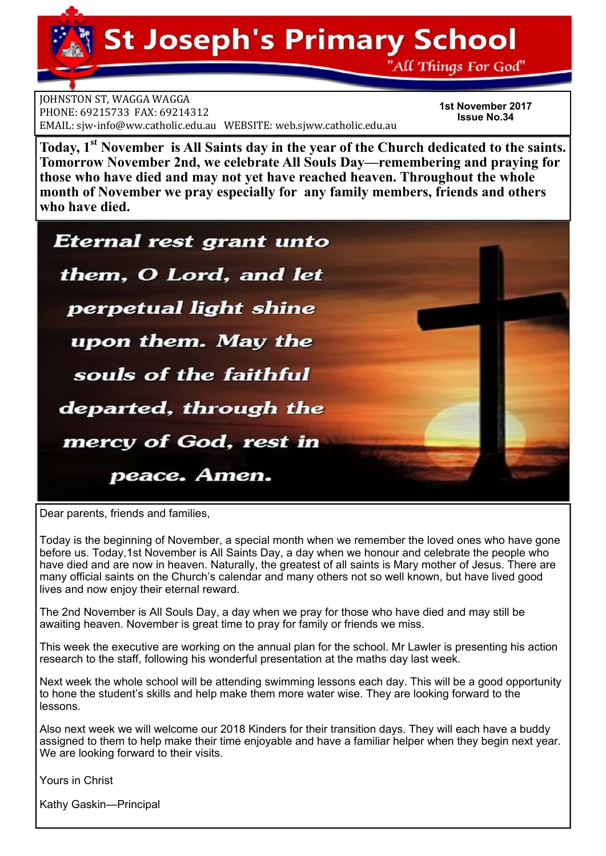**St Joseph's Primary School** 

"All Things For God"

**JOHNSTON ST, WAGGA WAGGA** PHONE: 69215733 FAX: 69214312 EMAIL: sjw-info@ww.catholic.edu.au WEBSITE: web.sjww.catholic.edu.au

**1st November 2017 Issue No.34** 

**Today, 1st November is All Saints day in the year of the Church dedicated to the saints. Tomorrow November 2nd, we celebrate All Souls Day—remembering and praying for those who have died and may not yet have reached heaven. Throughout the whole month of November we pray especially for any family members, friends and others who have died.** 



Dear parents, friends and families,

Today is the beginning of November, a special month when we remember the loved ones who have gone before us. Today,1st November is All Saints Day, a day when we honour and celebrate the people who have died and are now in heaven. Naturally, the greatest of all saints is Mary mother of Jesus. There are many official saints on the Church's calendar and many others not so well known, but have lived good lives and now enjoy their eternal reward.

The 2nd November is All Souls Day, a day when we pray for those who have died and may still be awaiting heaven. November is great time to pray for family or friends we miss.

This week the executive are working on the annual plan for the school. Mr Lawler is presenting his action research to the staff, following his wonderful presentation at the maths day last week.

Next week the whole school will be attending swimming lessons each day. This will be a good opportunity to hone the student's skills and help make them more water wise. They are looking forward to the lessons.

Also next week we will welcome our 2018 Kinders for their transition days. They will each have a buddy assigned to them to help make their time enjoyable and have a familiar helper when they begin next year. We are looking forward to their visits.

Yours in Christ

Kathy Gaskin—Principal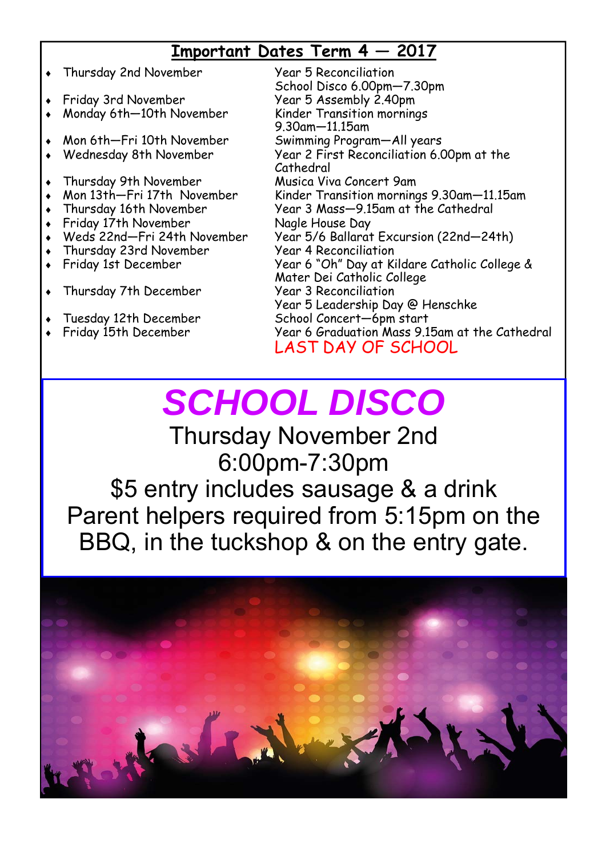## **Important Dates Term 4 — 2017**

- Thursday 2nd November Year 5 Reconciliation
- 
- Monday 6th—10th November Kinder Transition mornings
- Mon 6th—Fri 10th November Swimming Program—All years
- 
- Thursday 9th November Musica Viva Concert 9am
- 
- 
- Friday 17th November Nagle House Day
- 
- Thursday 23rd November
- 
- Thursday 7th December Year 3 Reconciliation
- 
- 

 School Disco 6.00pm—7.30pm Friday 3rd November Year 5 Assembly 2.40pm 9.30am—11.15am Wednesday 8th November Year 2 First Reconciliation 6.00pm at the Cathedral • Mon 13th—Fri 17th November Kinder Transition mornings 9.30am—11.15am Thursday 16th November Year 3 Mass—9.15am at the Cathedral Weds 22nd—Fri 24th November Year 5/6 Ballarat Excursion (22nd—24th) Friday 1st December Year 6 "Oh" Day at Kildare Catholic College & Mater Dei Catholic College Year 5 Leadership Day @ Henschke Tuesday 12th December School Concert—6pm start Friday 15th December Year 6 Graduation Mass 9.15am at the Cathedral LAST DAY OF SCHOOL

# *SCHOOL DISCO*

Thursday November 2nd 6:00pm-7:30pm \$5 entry includes sausage & a drink Parent helpers required from 5:15pm on the BBQ, in the tuckshop & on the entry gate.

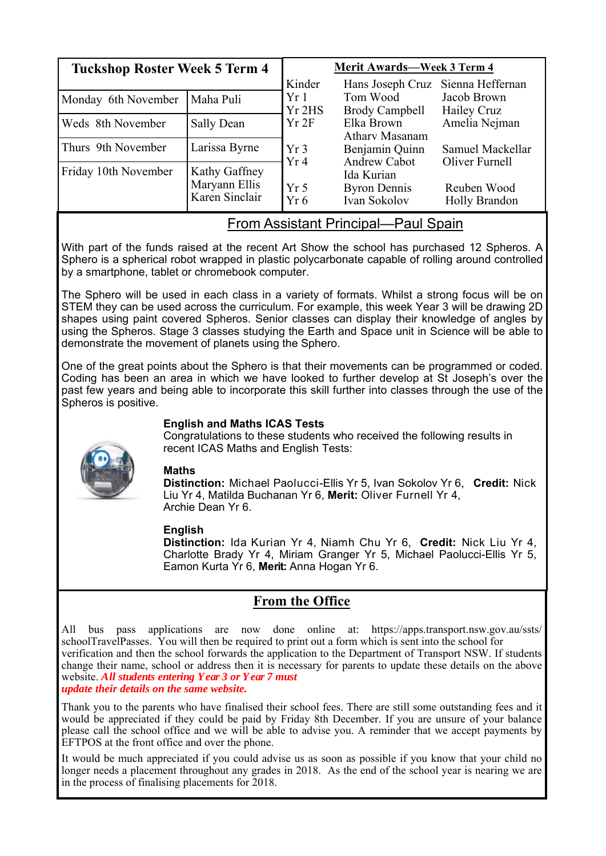| <b>Tuckshop Roster Week 5 Term 4</b> |                                    | <b>Merit Awards-Week 3 Term 4</b>   |                                   |                  |
|--------------------------------------|------------------------------------|-------------------------------------|-----------------------------------|------------------|
|                                      |                                    | Kinder                              | Hans Joseph Cruz                  | Sienna Heffernan |
| Monday 6th November                  | Maha Puli                          | Yr 1<br>Yr 2HS                      | Tom Wood                          | Jacob Brown      |
|                                      |                                    |                                     | <b>Brody Campbell</b>             | Hailey Cruz      |
| Weds 8th November                    | Sally Dean                         | Yr 2F                               | Elka Brown                        | Amelia Nejman    |
|                                      |                                    |                                     | <b>Athary Masanam</b>             |                  |
| Thurs 9th November                   | Larissa Byrne                      | Yr <sub>3</sub>                     | Benjamin Quinn                    | Samuel Mackellar |
| Friday 10th November                 | Kathy Gaffney                      | Yr4                                 | <b>Andrew Cabot</b><br>Ida Kurian | Oliver Furnell   |
| Maryann Ellis<br>Karen Sinclair      | Yr <sub>5</sub><br>Yr <sub>6</sub> | <b>Byron Dennis</b><br>Ivan Sokolov | Reuben Wood<br>Holly Brandon      |                  |

### From Assistant Principal—Paul Spain

With part of the funds raised at the recent Art Show the school has purchased 12 Spheros. A Sphero is a spherical robot wrapped in plastic polycarbonate capable of rolling around controlled by a smartphone, tablet or chromebook computer.

The Sphero will be used in each class in a variety of formats. Whilst a strong focus will be on STEM they can be used across the curriculum. For example, this week Year 3 will be drawing 2D shapes using paint covered Spheros. Senior classes can display their knowledge of angles by using the Spheros. Stage 3 classes studying the Earth and Space unit in Science will be able to demonstrate the movement of planets using the Sphero.

One of the great points about the Sphero is that their movements can be programmed or coded. Coding has been an area in which we have looked to further develop at St Joseph's over the past few years and being able to incorporate this skill further into classes through the use of the Spheros is positive.

#### **English and Maths ICAS Tests**

Congratulations to these students who received the following results in recent ICAS Maths and English Tests:



#### **Maths**

**Distinction:** Michael Paolucci-Ellis Yr 5, Ivan Sokolov Yr 6, **Credit:** Nick Liu Yr 4, Matilda Buchanan Yr 6, **Merit:** Oliver Furnell Yr 4, Archie Dean Yr 6.

#### **English**

**Distinction:** Ida Kurian Yr 4, Niamh Chu Yr 6, **Credit:** Nick Liu Yr 4, Charlotte Brady Yr 4, Miriam Granger Yr 5, Michael Paolucci-Ellis Yr 5, Eamon Kurta Yr 6, **Merit:** Anna Hogan Yr 6.

## **From the Office**

All bus pass applications are now done online at: https://apps.transport.nsw.gov.au/ssts/ schoolTravelPasses. You will then be required to print out a form which is sent into the school for verification and then the school forwards the application to the Department of Transport NSW. If students change their name, school or address then it is necessary for parents to update these details on the above website. *All students entering Year 3 or Year 7 must update their details on the same website.* 

Thank you to the parents who have finalised their school fees. There are still some outstanding fees and it would be appreciated if they could be paid by Friday 8th December. If you are unsure of your balance please call the school office and we will be able to advise you. A reminder that we accept payments by EFTPOS at the front office and over the phone.

It would be much appreciated if you could advise us as soon as possible if you know that your child no longer needs a placement throughout any grades in 2018. As the end of the school year is nearing we are in the process of finalising placements for 2018.